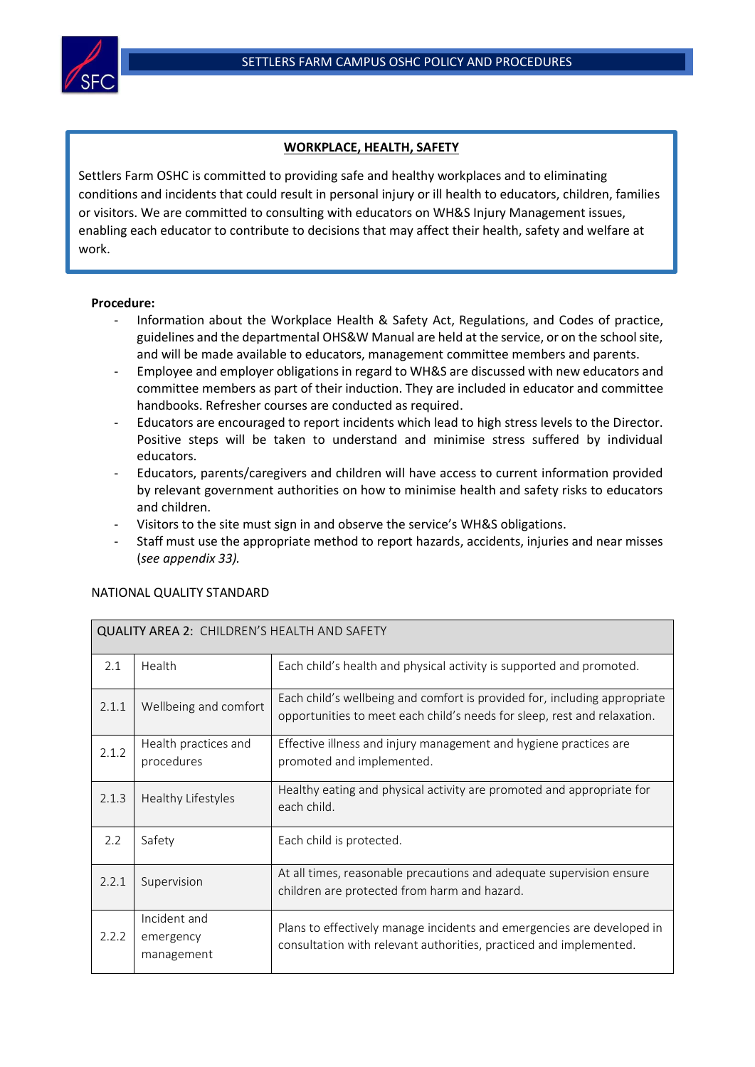

## **WORKPLACE, HEALTH, SAFETY**

Settlers Farm OSHC is committed to providing safe and healthy workplaces and to eliminating conditions and incidents that could result in personal injury or ill health to educators, children, families or visitors. We are committed to consulting with educators on WH&S Injury Management issues, enabling each educator to contribute to decisions that may affect their health, safety and welfare at work.

## **Procedure:**

 $\overline{a}$ 

- Information about the Workplace Health & Safety Act, Regulations, and Codes of practice, guidelines and the departmental OHS&W Manual are held at the service, or on the school site, and will be made available to educators, management committee members and parents.
- Employee and employer obligations in regard to WH&S are discussed with new educators and committee members as part of their induction. They are included in educator and committee handbooks. Refresher courses are conducted as required.
- Educators are encouraged to report incidents which lead to high stress levels to the Director. Positive steps will be taken to understand and minimise stress suffered by individual educators.
- Educators, parents/caregivers and children will have access to current information provided by relevant government authorities on how to minimise health and safety risks to educators and children.
- Visitors to the site must sign in and observe the service's WH&S obligations.
- Staff must use the appropriate method to report hazards, accidents, injuries and near misses (*see appendix 33).*

| <b>QUALITY AREA 2: CHILDREN'S HEALTH AND SAFETY</b> |                                         |                                                                                                                                                       |  |  |  |
|-----------------------------------------------------|-----------------------------------------|-------------------------------------------------------------------------------------------------------------------------------------------------------|--|--|--|
| 2.1                                                 | Health                                  | Each child's health and physical activity is supported and promoted.                                                                                  |  |  |  |
| 2.1.1                                               | Wellbeing and comfort                   | Each child's wellbeing and comfort is provided for, including appropriate<br>opportunities to meet each child's needs for sleep, rest and relaxation. |  |  |  |
| 2.1.2                                               | Health practices and<br>procedures      | Effective illness and injury management and hygiene practices are<br>promoted and implemented.                                                        |  |  |  |
| 2.1.3                                               | Healthy Lifestyles                      | Healthy eating and physical activity are promoted and appropriate for<br>each child.                                                                  |  |  |  |
| 2.2                                                 | Safety                                  | Each child is protected.                                                                                                                              |  |  |  |
| 2.2.1                                               | Supervision                             | At all times, reasonable precautions and adequate supervision ensure<br>children are protected from harm and hazard.                                  |  |  |  |
| 2.2.2                                               | Incident and<br>emergency<br>management | Plans to effectively manage incidents and emergencies are developed in<br>consultation with relevant authorities, practiced and implemented.          |  |  |  |

## NATIONAL QUALITY STANDARD